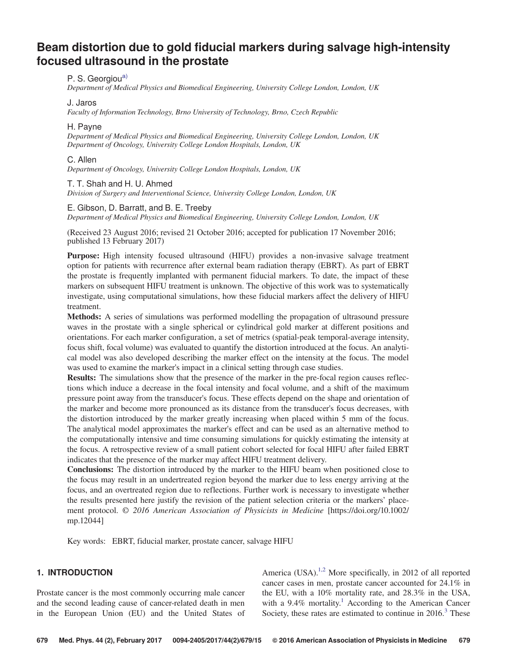# <span id="page-0-0"></span>Beam distortion due to gold fiducial markers during salvage high-intensity focused ultrasound in the prostate

# P. S. Georgiou<sup>[a\)](#page-12-0)</sup>

Department of Medical Physics and Biomedical Engineering, University College London, London, UK

# J. Jaros

Faculty of Information Technology, Brno University of Technology, Brno, Czech Republic

# H. Payne

Department of Medical Physics and Biomedical Engineering, University College London, London, UK Department of Oncology, University College London Hospitals, London, UK

## C. Allen

Department of Oncology, University College London Hospitals, London, UK

# T. T. Shah and H. U. Ahmed

Division of Surgery and Interventional Science, University College London, London, UK

# E. Gibson, D. Barratt, and B. E. Treeby

Department of Medical Physics and Biomedical Engineering, University College London, London, UK

(Received 23 August 2016; revised 21 October 2016; accepted for publication 17 November 2016; published 13 February 2017)

Purpose: High intensity focused ultrasound (HIFU) provides a non-invasive salvage treatment option for patients with recurrence after external beam radiation therapy (EBRT). As part of EBRT the prostate is frequently implanted with permanent fiducial markers. To date, the impact of these markers on subsequent HIFU treatment is unknown. The objective of this work was to systematically investigate, using computational simulations, how these fiducial markers affect the delivery of HIFU treatment.

Methods: A series of simulations was performed modelling the propagation of ultrasound pressure waves in the prostate with a single spherical or cylindrical gold marker at different positions and orientations. For each marker configuration, a set of metrics (spatial-peak temporal-average intensity, focus shift, focal volume) was evaluated to quantify the distortion introduced at the focus. An analytical model was also developed describing the marker effect on the intensity at the focus. The model was used to examine the marker's impact in a clinical setting through case studies.

Results: The simulations show that the presence of the marker in the pre-focal region causes reflections which induce a decrease in the focal intensity and focal volume, and a shift of the maximum pressure point away from the transducer's focus. These effects depend on the shape and orientation of the marker and become more pronounced as its distance from the transducer's focus decreases, with the distortion introduced by the marker greatly increasing when placed within 5 mm of the focus. The analytical model approximates the marker's effect and can be used as an alternative method to the computationally intensive and time consuming simulations for quickly estimating the intensity at the focus. A retrospective review of a small patient cohort selected for focal HIFU after failed EBRT indicates that the presence of the marker may affect HIFU treatment delivery.

Conclusions: The distortion introduced by the marker to the HIFU beam when positioned close to the focus may result in an undertreated region beyond the marker due to less energy arriving at the focus, and an overtreated region due to reflections. Further work is necessary to investigate whether the results presented here justify the revision of the patient selection criteria or the markers' placement protocol. © 2016 American Association of Physicists in Medicine [\[https://doi.org/10.1002/](https://doi.org/10.1002/mp.12044) [mp.12044\]](https://doi.org/10.1002/mp.12044)

Key words: EBRT, fiducial marker, prostate cancer, salvage HIFU

# 1. INTRODUCTION

Prostate cancer is the most commonly occurring male cancer and the second leading cause of cancer-related death in men in the European Union (EU) and the United States of America (USA).<sup>[1,2](#page-12-0)</sup> More specifically, in 2012 of all reported cancer cases in men, prostate cancer accounted for 24.1% in the EU, with a 10% mortality rate, and 28.3% in the USA, with a  $9.4\%$  mortality.<sup>[1](#page-12-0)</sup> According to the American Cancer Society, these rates are estimated to continue in  $2016<sup>3</sup>$  $2016<sup>3</sup>$  $2016<sup>3</sup>$ . These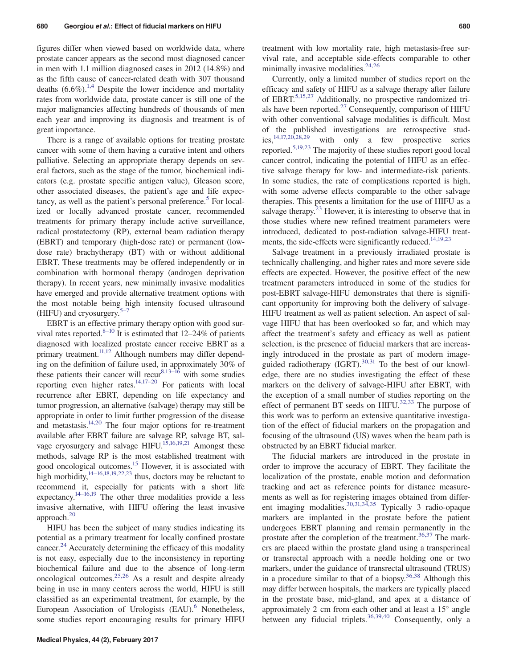figures differ when viewed based on worldwide data, where prostate cancer appears as the second most diagnosed cancer in men with 1.1 million diagnosed cases in 2012 (14.8%) and as the fifth cause of cancer-related death with 307 thousand deaths  $(6.6\%)$ <sup>[1,4](#page-12-0)</sup> Despite the lower incidence and mortality rates from worldwide data, prostate cancer is still one of the major malignancies affecting hundreds of thousands of men each year and improving its diagnosis and treatment is of great importance.

There is a range of available options for treating prostate cancer with some of them having a curative intent and others palliative. Selecting an appropriate therapy depends on several factors, such as the stage of the tumor, biochemical indicators (e.g. prostate specific antigen value), Gleason score, other associated diseases, the patient's age and life expec-tancy, as well as the patient's personal preference.<sup>[5](#page-12-0)</sup> For localized or locally advanced prostate cancer, recommended treatments for primary therapy include active surveillance, radical prostatectomy (RP), external beam radiation therapy (EBRT) and temporary (high-dose rate) or permanent (lowdose rate) brachytherapy (BT) with or without additional EBRT. These treatments may be offered independently or in combination with hormonal therapy (androgen deprivation therapy). In recent years, new minimally invasive modalities have emerged and provide alternative treatment options with the most notable being high intensity focused ultrasound (HIFU) and cryosurgery. $5-7$  $5-7$ 

EBRT is an effective primary therapy option with good sur-vival rates reported.<sup>8–[10](#page-13-0)</sup> It is estimated that  $12-24\%$  of patients diagnosed with localized prostate cancer receive EBRT as a primary treatment.<sup>11,12</sup> Although numbers may differ depending on the definition of failure used, in approximately 30% of these patients their cancer will recur<sup>[8,13](#page-13-0)–16</sup> with some studies reporting even higher rates. $14,17-20$  $14,17-20$  For patients with local recurrence after EBRT, depending on life expectancy and tumor progression, an alternative (salvage) therapy may still be appropriate in order to limit further progression of the disease and metastasis[.14,20](#page-13-0) The four major options for re-treatment available after EBRT failure are salvage RP, salvage BT, salvage cryosurgery and salvage  $HIFU^{15,16,19,21}$  $HIFU^{15,16,19,21}$  $HIFU^{15,16,19,21}$  Amongst these methods, salvage RP is the most established treatment with good oncological outcomes[.15](#page-13-0) However, it is associated with high morbidity, $14-16,18,19,22,23$  $14-16,18,19,22,23$  thus, doctors may be reluctant to recommend it, especially for patients with a short life expectancy.<sup>[14](#page-13-0)–[16,19](#page-13-0)</sup> The other three modalities provide a less invasive alternative, with HIFU offering the least invasive approach.<sup>20</sup>

HIFU has been the subject of many studies indicating its potential as a primary treatment for locally confined prostate cancer. $^{24}$  $^{24}$  $^{24}$  Accurately determining the efficacy of this modality is not easy, especially due to the inconsistency in reporting biochemical failure and due to the absence of long-term oncological outcomes.[25,26](#page-13-0) As a result and despite already being in use in many centers across the world, HIFU is still classified as an experimental treatment, for example, by the European Association of Urologists (EAU).<sup>[6](#page-12-0)</sup> Nonetheless, some studies report encouraging results for primary HIFU

treatment with low mortality rate, high metastasis-free survival rate, and acceptable side-effects comparable to other minimally invasive modalities.<sup>[24,26](#page-13-0)</sup>

Currently, only a limited number of studies report on the efficacy and safety of HIFU as a salvage therapy after failure of EBRT.<sup>[5,15,27](#page-12-0)</sup> Additionally, no prospective randomized tri-als have been reported.<sup>[27](#page-13-0)</sup> Consequently, comparison of HIFU with other conventional salvage modalities is difficult. Most of the published investigations are retrospective studies,[14,17,20,28,29](#page-13-0) with only a few prospective series reported.[5,19,23](#page-12-0) The majority of these studies report good local cancer control, indicating the potential of HIFU as an effective salvage therapy for low- and intermediate-risk patients. In some studies, the rate of complications reported is high, with some adverse effects comparable to the other salvage therapies. This presents a limitation for the use of HIFU as a salvage therapy. $^{23}$  $^{23}$  $^{23}$  However, it is interesting to observe that in those studies where new refined treatment parameters were introduced, dedicated to post-radiation salvage-HIFU treatments, the side-effects were significantly reduced.<sup>14,19,23</sup>

Salvage treatment in a previously irradiated prostate is technically challenging, and higher rates and more severe side effects are expected. However, the positive effect of the new treatment parameters introduced in some of the studies for post-EBRT salvage-HIFU demonstrates that there is significant opportunity for improving both the delivery of salvage-HIFU treatment as well as patient selection. An aspect of salvage HIFU that has been overlooked so far, and which may affect the treatment's safety and efficacy as well as patient selection, is the presence of fiducial markers that are increasingly introduced in the prostate as part of modern imageguided radiotherapy  $(IGRT)$ .<sup>[30,31](#page-13-0)</sup> To the best of our knowledge, there are no studies investigating the effect of these markers on the delivery of salvage-HIFU after EBRT, with the exception of a small number of studies reporting on the effect of permanent BT seeds on HIFU. $^{32,33}$  $^{32,33}$  $^{32,33}$  The purpose of this work was to perform an extensive quantitative investigation of the effect of fiducial markers on the propagation and focusing of the ultrasound (US) waves when the beam path is obstructed by an EBRT fiducial marker.

The fiducial markers are introduced in the prostate in order to improve the accuracy of EBRT. They facilitate the localization of the prostate, enable motion and deformation tracking and act as reference points for distance measurements as well as for registering images obtained from differ-ent imaging modalities.<sup>[30,31,34,35](#page-13-0)</sup> Typically 3 radio-opaque markers are implanted in the prostate before the patient undergoes EBRT planning and remain permanently in the prostate after the completion of the treatment.<sup>36,37</sup> The markers are placed within the prostate gland using a transperineal or transrectal approach with a needle holding one or two markers, under the guidance of transrectal ultrasound (TRUS) in a procedure similar to that of a biopsy.  $36,38$  Although this may differ between hospitals, the markers are typically placed in the prostate base, mid-gland, and apex at a distance of approximately 2 cm from each other and at least a  $15^{\circ}$  angle between any fiducial triplets. $36,39,40$  Consequently, only a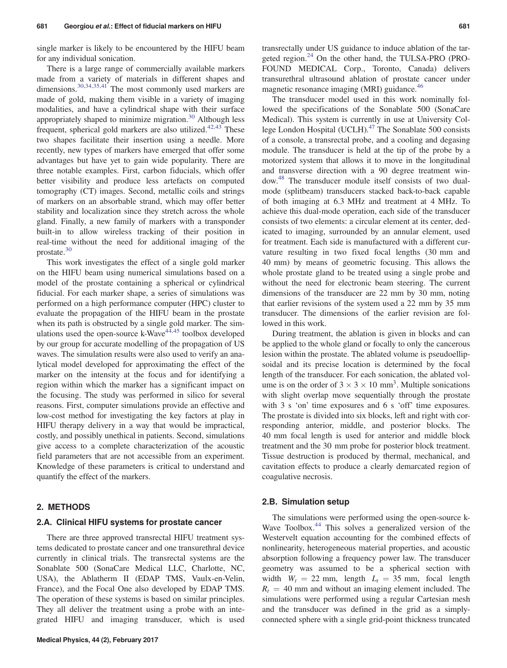<span id="page-2-0"></span>single marker is likely to be encountered by the HIFU beam for any individual sonication.

There is a large range of commercially available markers made from a variety of materials in different shapes and dimensions.<sup>[30,34,35,41](#page-13-0)</sup> The most commonly used markers are made of gold, making them visible in a variety of imaging modalities, and have a cylindrical shape with their surface appropriately shaped to minimize migration.<sup>[30](#page-13-0)</sup> Although less frequent, spherical gold markers are also utilized. $42,43$ <sup>T</sup> These two shapes facilitate their insertion using a needle. More recently, new types of markers have emerged that offer some advantages but have yet to gain wide popularity. There are three notable examples. First, carbon fiducials, which offer better visibility and produce less artefacts on computed tomography (CT) images. Second, metallic coils and strings of markers on an absorbable strand, which may offer better stability and localization since they stretch across the whole gland. Finally, a new family of markers with a transponder built-in to allow wireless tracking of their position in real-time without the need for additional imaging of the prostate.<sup>[30](#page-13-0)</sup>

This work investigates the effect of a single gold marker on the HIFU beam using numerical simulations based on a model of the prostate containing a spherical or cylindrical fiducial. For each marker shape, a series of simulations was performed on a high performance computer (HPC) cluster to evaluate the propagation of the HIFU beam in the prostate when its path is obstructed by a single gold marker. The simulations used the open-source k-Wave<sup>4 $\overline{4,45}$ </sup> toolbox developed by our group for accurate modelling of the propagation of US waves. The simulation results were also used to verify an analytical model developed for approximating the effect of the marker on the intensity at the focus and for identifying a region within which the marker has a significant impact on the focusing. The study was performed in silico for several reasons. First, computer simulations provide an effective and low-cost method for investigating the key factors at play in HIFU therapy delivery in a way that would be impractical, costly, and possibly unethical in patients. Second, simulations give access to a complete characterization of the acoustic field parameters that are not accessible from an experiment. Knowledge of these parameters is critical to understand and quantify the effect of the markers.

# 2. METHODS

# 2.A. Clinical HIFU systems for prostate cancer

There are three approved transrectal HIFU treatment systems dedicated to prostate cancer and one transurethral device currently in clinical trials. The transrectal systems are the Sonablate 500 (SonaCare Medical LLC, Charlotte, NC, USA), the Ablatherm II (EDAP TMS, Vaulx-en-Velin, France), and the Focal One also developed by EDAP TMS. The operation of these systems is based on similar principles. They all deliver the treatment using a probe with an integrated HIFU and imaging transducer, which is used transrectally under US guidance to induce ablation of the tar-geted region.<sup>[24](#page-13-0)</sup> On the other hand, the TULSA-PRO (PRO-FOUND MEDICAL Corp., Toronto, Canada) delivers transurethral ultrasound ablation of prostate cancer under magnetic resonance imaging (MRI) guidance.<sup>[46](#page-13-0)</sup>

The transducer model used in this work nominally followed the specifications of the Sonablate 500 (SonaCare Medical). This system is currently in use at University College London Hospital (UCLH)[.47](#page-13-0) The Sonablate 500 consists of a console, a transrectal probe, and a cooling and degasing module. The transducer is held at the tip of the probe by a motorized system that allows it to move in the longitudinal and transverse direction with a 90 degree treatment window.[48](#page-13-0) The transducer module itself consists of two dualmode (splitbeam) transducers stacked back-to-back capable of both imaging at 6.3 MHz and treatment at 4 MHz. To achieve this dual-mode operation, each side of the transducer consists of two elements: a circular element at its center, dedicated to imaging, surrounded by an annular element, used for treatment. Each side is manufactured with a different curvature resulting in two fixed focal lengths (30 mm and 40 mm) by means of geometric focusing. This allows the whole prostate gland to be treated using a single probe and without the need for electronic beam steering. The current dimensions of the transducer are 22 mm by 30 mm, noting that earlier revisions of the system used a 22 mm by 35 mm transducer. The dimensions of the earlier revision are followed in this work.

During treatment, the ablation is given in blocks and can be applied to the whole gland or focally to only the cancerous lesion within the prostate. The ablated volume is pseudoellipsoidal and its precise location is determined by the focal length of the transducer. For each sonication, the ablated volume is on the order of  $3 \times 3 \times 10$  mm<sup>3</sup>. Multiple sonications with slight overlap move sequentially through the prostate with 3 s 'on' time exposures and 6 s 'off' time exposures. The prostate is divided into six blocks, left and right with corresponding anterior, middle, and posterior blocks. The 40 mm focal length is used for anterior and middle block treatment and the 30 mm probe for posterior block treatment. Tissue destruction is produced by thermal, mechanical, and cavitation effects to produce a clearly demarcated region of coagulative necrosis.

#### 2.B. Simulation setup

The simulations were performed using the open-source k-Wave Toolbox.[44](#page-13-0) This solves a generalized version of the Westervelt equation accounting for the combined effects of nonlinearity, heterogeneous material properties, and acoustic absorption following a frequency power law. The transducer geometry was assumed to be a spherical section with width  $W_t = 22$  mm, length  $L_t = 35$  mm, focal length  $R_t = 40$  mm and without an imaging element included. The simulations were performed using a regular Cartesian mesh and the transducer was defined in the grid as a simplyconnected sphere with a single grid-point thickness truncated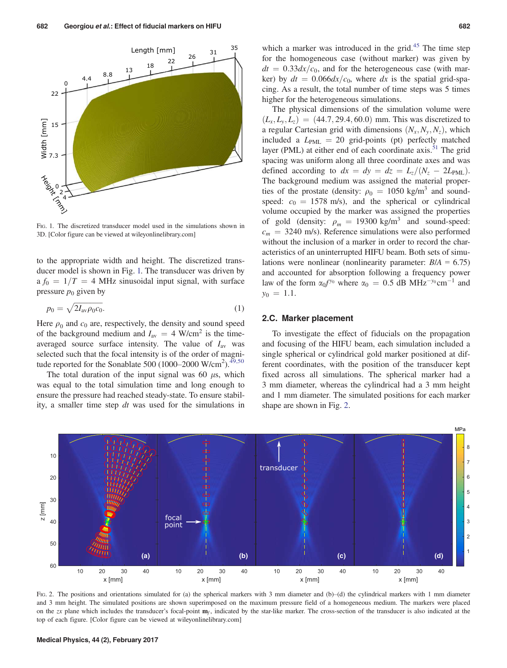<span id="page-3-0"></span>

FIG. 1. The discretized transducer model used in the simulations shown in 3D. [Color figure can be viewed at [wileyonlinelibrary.com\]](https://wileyonlinelibrary.com)

to the appropriate width and height. The discretized transducer model is shown in Fig. 1. The transducer was driven by a  $f_0 = 1/T = 4$  MHz sinusoidal input signal, with surface pressure  $p_0$  given by

$$
p_0 = \sqrt{2I_{\rm av}\rho_0 c_0}.\tag{1}
$$

Here  $\rho_0$  and  $c_0$  are, respectively, the density and sound speed of the background medium and  $I_{\text{av}} = 4 \text{ W/cm}^2$  is the timeaveraged source surface intensity. The value of  $I_{av}$  was selected such that the focal intensity is of the order of magni-tude reported for the Sonablate 500 (1000–2000 W/cm<sup>2</sup>).<sup>[49,50](#page-13-0)</sup>

The total duration of the input signal was 60  $\mu$ s, which was equal to the total simulation time and long enough to ensure the pressure had reached steady-state. To ensure stability, a smaller time step dt was used for the simulations in which a marker was introduced in the grid. $45$  The time step for the homogeneous case (without marker) was given by  $dt = 0.33dx/c_0$ , and for the heterogeneous case (with marker) by  $dt = 0.066dx/c_0$ , where dx is the spatial grid-spacing. As a result, the total number of time steps was 5 times higher for the heterogeneous simulations.

The physical dimensions of the simulation volume were  $(L_x, L_y, L_z) = (44.7, 29.4, 60.0)$  mm. This was discretized to a regular Cartesian grid with dimensions  $(N_x, N_y, N_z)$ , which included a  $L_{\text{PML}} = 20$  grid-points (pt) perfectly matched layer (PML) at either end of each coordinate axis.<sup>[51](#page-14-0)</sup> The grid spacing was uniform along all three coordinate axes and was defined according to  $dx = dy = dz = L_z/(N_z - 2L_{PML})$ . The background medium was assigned the material properties of the prostate (density:  $\rho_0 = 1050 \text{ kg/m}^3$  and soundspeed:  $c_0 = 1578$  m/s), and the spherical or cylindrical volume occupied by the marker was assigned the properties of gold (density:  $\rho_m = 19300 \text{ kg/m}^3$  and sound-speed:  $c_m$  = 3240 m/s). Reference simulations were also performed without the inclusion of a marker in order to record the characteristics of an uninterrupted HIFU beam. Both sets of simulations were nonlinear (nonlinearity parameter:  $B/A = 6.75$ ) and accounted for absorption following a frequency power law of the form  $\alpha_0 f^{y_0}$  where  $\alpha_0 = 0.5$  dB MHz<sup>-y<sub>0</sub></sup> cm<sup>-1</sup> and  $y_0 = 1.1.$ 

## 2.C. Marker placement

To investigate the effect of fiducials on the propagation and focusing of the HIFU beam, each simulation included a single spherical or cylindrical gold marker positioned at different coordinates, with the position of the transducer kept fixed across all simulations. The spherical marker had a 3 mm diameter, whereas the cylindrical had a 3 mm height and 1 mm diameter. The simulated positions for each marker shape are shown in Fig. 2.



FIG. 2. The positions and orientations simulated for (a) the spherical markers with 3 mm diameter and (b)–(d) the cylindrical markers with 1 mm diameter and 3 mm height. The simulated positions are shown superimposed on the maximum pressure field of a homogeneous medium. The markers were placed on the zx plane which includes the transducer's focal-point  $m_f$ , indicated by the star-like marker. The cross-section of the transducer is also indicated at the top of each figure. [Color figure can be viewed at [wileyonlinelibrary.com](https://wileyonlinelibrary.com)]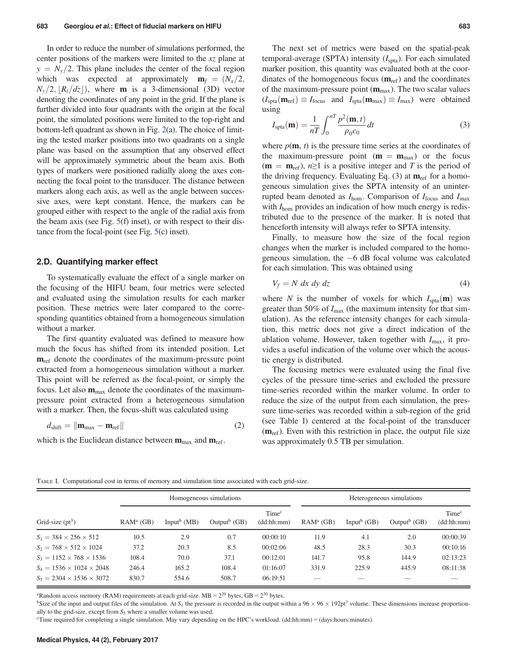<span id="page-4-0"></span>In order to reduce the number of simulations performed, the center positions of the markers were limited to the xz plane at  $y = N_y/2$ . This plane includes the center of the focal region which was expected at approximately  $\mathbf{m}_f = (N_x/2,$  $N_{y}/2$ ,  $|R_{t}/dz|$ , where **m** is a 3-dimensional (3D) vector denoting the coordinates of any point in the grid. If the plane is further divided into four quadrants with the origin at the focal point, the simulated positions were limited to the top-right and bottom-left quadrant as shown in Fig. [2\(](#page-3-0)a). The choice of limiting the tested marker positions into two quadrants on a single plane was based on the assumption that any observed effect will be approximately symmetric about the beam axis. Both types of markers were positioned radially along the axes connecting the focal point to the transducer. The distance between markers along each axis, as well as the angle between successive axes, were kept constant. Hence, the markers can be grouped either with respect to the angle of the radial axis from the beam axis (see Fig. [5](#page-7-0)(f) inset), or with respect to their distance from the focal-point (see Fig. [5\(](#page-7-0)c) inset).

#### 2.D. Quantifying marker effect

To systematically evaluate the effect of a single marker on the focusing of the HIFU beam, four metrics were selected and evaluated using the simulation results for each marker position. These metrics were later compared to the corresponding quantities obtained from a homogeneous simulation without a marker.

The first quantity evaluated was defined to measure how much the focus has shifted from its intended position. Let  $m_{ref}$  denote the coordinates of the maximum-pressure point extracted from a homogeneous simulation without a marker. This point will be referred as the focal-point, or simply the focus. Let also  $m_{\text{max}}$  denote the coordinates of the maximumpressure point extracted from a heterogeneous simulation with a marker. Then, the focus-shift was calculated using

$$
d_{\text{shift}} = \|\mathbf{m}_{\text{max}} - \mathbf{m}_{\text{ref}}\| \tag{2}
$$

which is the Euclidean distance between  $m_{\text{max}}$  and  $m_{\text{ref}}$ .

The next set of metrics were based on the spatial-peak temporal-average (SPTA) intensity  $(I<sub>spta</sub>)$ . For each simulated marker position, this quantity was evaluated both at the coordinates of the homogeneous focus  $(m_{ref})$  and the coordinates of the maximum-pressure point  $(m_{max})$ . The two scalar values  $(I_{\text{spta}}(\mathbf{m}_{\text{ref}}) \equiv I_{\text{focus}}$  and  $I_{\text{spta}}(\mathbf{m}_{\text{max}}) \equiv I_{\text{max}}$  were obtained using

$$
I_{\rm spta}(\mathbf{m}) = \frac{1}{nT} \int_0^{nT} \frac{p^2(\mathbf{m}, t)}{\rho_0 c_0} dt
$$
 (3)

where  $p(\mathbf{m}, t)$  is the pressure time series at the coordinates of the maximum-pressure point  $(m = m_{max})$  or the focus  $(m = m_{ref}), n \ge 1$  is a positive integer and T is the period of the driving frequency. Evaluating Eq.  $(3)$  at  $m_{ref}$  for a homogeneous simulation gives the SPTA intensity of an uninterrupted beam denoted as  $I_{\text{hom}}$ . Comparison of  $I_{\text{focus}}$  and  $I_{\text{max}}$ with  $I_{\text{hom}}$  provides an indication of how much energy is redistributed due to the presence of the marker. It is noted that henceforth intensity will always refer to SPTA intensity.

Finally, to measure how the size of the focal region changes when the marker is included compared to the homogeneous simulation, the  $-6$  dB focal volume was calculated for each simulation. This was obtained using

$$
V_f = N \, dx \, dy \, dz \tag{4}
$$

where N is the number of voxels for which  $I_{\text{spta}}(\mathbf{m})$  was greater than 50% of  $I_{\text{max}}$  (the maximum intensity for that simulation). As the reference intensity changes for each simulation, this metric does not give a direct indication of the ablation volume. However, taken together with  $I_{\text{max}}$ , it provides a useful indication of the volume over which the acoustic energy is distributed.

The focusing metrics were evaluated using the final five cycles of the pressure time-series and excluded the pressure time-series recorded within the marker volume. In order to reduce the size of the output from each simulation, the pressure time-series was recorded within a sub-region of the grid (see Table I) centered at the focal-point of the transducer  $(m_{ref})$ . Even with this restriction in place, the output file size was approximately  $0.5$  TB per simulation.

TABLE I. Computational cost in terms of memory and simulation time associated with each grid-size.

|                                      | Homogeneous simulations |                             |                            |                                 | Heterogeneous simulations |                           |                            |                                 |
|--------------------------------------|-------------------------|-----------------------------|----------------------------|---------------------------------|---------------------------|---------------------------|----------------------------|---------------------------------|
| Grid-size $(pt3)$                    | RAM <sup>a</sup> (GB)   | Input <sup>b</sup> ( $MB$ ) | Output <sup>b</sup> $(GB)$ | Time <sup>c</sup><br>(dd:hh:mm) | RAM <sup>a</sup> (GB)     | Input <sup>b</sup> $(GB)$ | Output <sup>b</sup> $(GB)$ | Time <sup>c</sup><br>(dd:hh:mm) |
| $S_1 = 384 \times 256 \times 512$    | 10.5                    | 2.9                         | 0.7                        | 00:00:10                        | 11.9                      | 4.1                       | 2.0                        | 00:00:39                        |
| $S_2 = 768 \times 512 \times 1024$   | 37.2                    | 20.3                        | 8.5                        | 00:02:06                        | 48.5                      | 28.3                      | 30.3                       | 00:10:16                        |
| $S_3 = 1152 \times 768 \times 1536$  | 108.4                   | 70.0                        | 37.1                       | 00:12:01                        | 141.7                     | 95.8                      | 144.9                      | 02:13:23                        |
| $S_4 = 1536 \times 1024 \times 2048$ | 246.4                   | 165.2                       | 108.4                      | 01:16:07                        | 331.9                     | 225.9                     | 445.9                      | 08:11:38                        |
| $S_5 = 2304 \times 1536 \times 3072$ | 830.7                   | 554.6                       | 508.7                      | 06:19:51                        |                           |                           |                            |                                 |

<sup>a</sup>Random access memory (RAM) requirements at each grid-size. MB =  $2^{20}$  bytes, GB =  $2^{30}$  bytes.

<sup>b</sup>Size of the input and output files of the simulation. At  $S_1$  the pressure is recorded in the output within a 96  $\times$  96  $\times$  192pt<sup>3</sup> volume. These dimensions increase proportionally to the grid-size, except from  $S_5$  where a smaller volume was used.

cTime required for completing a single simulation. May vary depending on the HPC's workload. (dd:hh:mm) = (days:hours:minutes).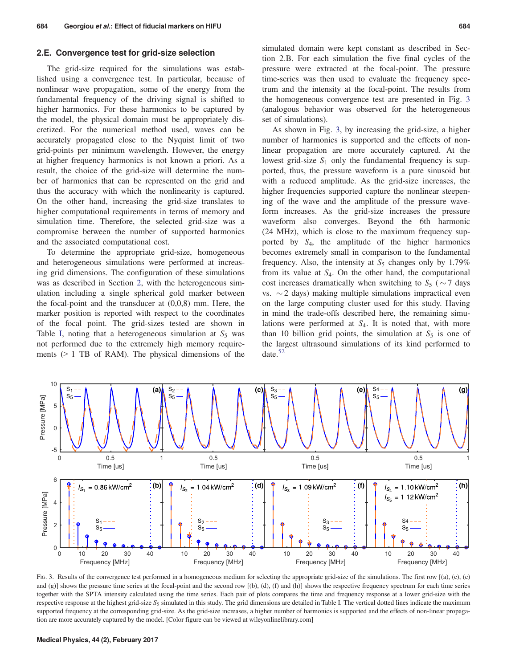#### 2.E. Convergence test for grid-size selection

The grid-size required for the simulations was established using a convergence test. In particular, because of nonlinear wave propagation, some of the energy from the fundamental frequency of the driving signal is shifted to higher harmonics. For these harmonics to be captured by the model, the physical domain must be appropriately discretized. For the numerical method used, waves can be accurately propagated close to the Nyquist limit of two grid-points per minimum wavelength. However, the energy at higher frequency harmonics is not known a priori. As a result, the choice of the grid-size will determine the number of harmonics that can be represented on the grid and thus the accuracy with which the nonlinearity is captured. On the other hand, increasing the grid-size translates to higher computational requirements in terms of memory and simulation time. Therefore, the selected grid-size was a compromise between the number of supported harmonics and the associated computational cost.

To determine the appropriate grid-size, homogeneous and heterogeneous simulations were performed at increasing grid dimensions. The configuration of these simulations was as described in Section [2](#page-2-0), with the heterogeneous simulation including a single spherical gold marker between the focal-point and the transducer at (0,0,8) mm. Here, the marker position is reported with respect to the coordinates of the focal point. The grid-sizes tested are shown in Table [I,](#page-4-0) noting that a heterogeneous simulation at  $S_5$  was not performed due to the extremely high memory requirements (> 1 TB of RAM). The physical dimensions of the simulated domain were kept constant as described in Section 2.B. For each simulation the five final cycles of the pressure were extracted at the focal-point. The pressure time-series was then used to evaluate the frequency spectrum and the intensity at the focal-point. The results from the homogeneous convergence test are presented in Fig. 3 (analogous behavior was observed for the heterogeneous set of simulations).

As shown in Fig. 3, by increasing the grid-size, a higher number of harmonics is supported and the effects of nonlinear propagation are more accurately captured. At the lowest grid-size  $S_1$  only the fundamental frequency is supported, thus, the pressure waveform is a pure sinusoid but with a reduced amplitude. As the grid-size increases, the higher frequencies supported capture the nonlinear steepening of the wave and the amplitude of the pressure waveform increases. As the grid-size increases the pressure waveform also converges. Beyond the 6th harmonic (24 MHz), which is close to the maximum frequency supported by  $S_4$ , the amplitude of the higher harmonics becomes extremely small in comparison to the fundamental frequency. Also, the intensity at  $S_5$  changes only by 1.79% from its value at  $S_4$ . On the other hand, the computational cost increases dramatically when switching to  $S_5$  ( $\sim$  7 days vs.  $\sim$  2 days) making multiple simulations impractical even on the large computing cluster used for this study. Having in mind the trade-offs described here, the remaining simulations were performed at  $S<sub>4</sub>$ . It is noted that, with more than 10 billion grid points, the simulation at  $S_5$  is one of the largest ultrasound simulations of its kind performed to date. $52$ 



FIG. 3. Results of the convergence test performed in a homogeneous medium for selecting the appropriate grid-size of the simulations. The first row [(a), (c), (e) and  $(g)$ ] shows the pressure time series at the focal-point and the second row  $[(b), (d), (f)$  and  $(h)]$  shows the respective frequency spectrum for each time series together with the SPTA intensity calculated using the time series. Each pair of plots compares the time and frequency response at a lower grid-size with the respective response at the highest grid-size  $S_5$  simulated in this study. The grid dimensions are detailed in Table I. The vertical dotted lines indicate the maximum supported frequency at the corresponding grid-size. As the grid-size increases, a higher number of harmonics is supported and the effects of non-linear propagation are more accurately captured by the model. [Color figure can be viewed at [wileyonlinelibrary.com\]](https://wileyonlinelibrary.com)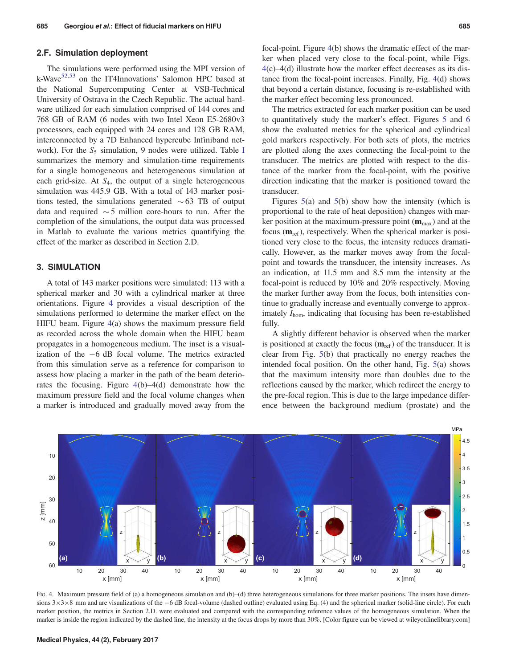#### <span id="page-6-0"></span>2.F. Simulation deployment

The simulations were performed using the MPI version of k-Wave $52,53$  on the IT4Innovations' Salomon HPC based at the National Supercomputing Center at VSB-Technical University of Ostrava in the Czech Republic. The actual hardware utilized for each simulation comprised of 144 cores and 768 GB of RAM (6 nodes with two Intel Xeon E5-2680v3 processors, each equipped with 24 cores and 128 GB RAM, interconnected by a 7D Enhanced hypercube Infiniband network). For the  $S_5$  simulation, 9 nodes were utilized. Table [I](#page-4-0) summarizes the memory and simulation-time requirements for a single homogeneous and heterogeneous simulation at each grid-size. At  $S_4$ , the output of a single heterogeneous simulation was 445.9 GB. With a total of 143 marker positions tested, the simulations generated  $\sim 63$  TB of output data and required  $\sim$  5 million core-hours to run. After the completion of the simulations, the output data was processed in Matlab to evaluate the various metrics quantifying the effect of the marker as described in Section 2.D.

# 3. SIMULATION

A total of 143 marker positions were simulated: 113 with a spherical marker and 30 with a cylindrical marker at three orientations. Figure 4 provides a visual description of the simulations performed to determine the marker effect on the HIFU beam. Figure 4(a) shows the maximum pressure field as recorded across the whole domain when the HIFU beam propagates in a homogeneous medium. The inset is a visualization of the  $-6$  dB focal volume. The metrics extracted from this simulation serve as a reference for comparison to assess how placing a marker in the path of the beam deteriorates the focusing. Figure 4(b)–4(d) demonstrate how the maximum pressure field and the focal volume changes when a marker is introduced and gradually moved away from the focal-point. Figure 4(b) shows the dramatic effect of the marker when placed very close to the focal-point, while Figs. 4(c)–4(d) illustrate how the marker effect decreases as its distance from the focal-point increases. Finally, Fig. 4(d) shows that beyond a certain distance, focusing is re-established with the marker effect becoming less pronounced.

The metrics extracted for each marker position can be used to quantitatively study the marker's effect. Figures [5](#page-7-0) and [6](#page-7-0) show the evaluated metrics for the spherical and cylindrical gold markers respectively. For both sets of plots, the metrics are plotted along the axes connecting the focal-point to the transducer. The metrics are plotted with respect to the distance of the marker from the focal-point, with the positive direction indicating that the marker is positioned toward the transducer.

Figures [5\(](#page-7-0)a) and [5\(](#page-7-0)b) show how the intensity (which is proportional to the rate of heat deposition) changes with marker position at the maximum-pressure point  $(m<sub>max</sub>)$  and at the focus  $(m_{ref})$ , respectively. When the spherical marker is positioned very close to the focus, the intensity reduces dramatically. However, as the marker moves away from the focalpoint and towards the transducer, the intensity increases. As an indication, at 11.5 mm and 8.5 mm the intensity at the focal-point is reduced by 10% and 20% respectively. Moving the marker further away from the focus, both intensities continue to gradually increase and eventually converge to approximately  $I_{\text{hom}}$ , indicating that focusing has been re-established fully.

A slightly different behavior is observed when the marker is positioned at exactly the focus  $(m_{ref})$  of the transducer. It is clear from Fig. [5](#page-7-0)(b) that practically no energy reaches the intended focal position. On the other hand, Fig. [5\(](#page-7-0)a) shows that the maximum intensity more than doubles due to the reflections caused by the marker, which redirect the energy to the pre-focal region. This is due to the large impedance difference between the background medium (prostate) and the



FIG. 4. Maximum pressure field of (a) a homogeneous simulation and (b)–(d) three heterogeneous simulations for three marker positions. The insets have dimensions  $3\times3\times8$  mm and are visualizations of the  $-6$  dB focal-volume (dashed outline) evaluated using Eq. (4) and the spherical marker (solid-line circle). For each marker position, the metrics in Section 2.D. were evaluated and compared with the corresponding reference values of the homogeneous simulation. When the marker is inside the region indicated by the dashed line, the intensity at the focus drops by more than 30%. [Color figure can be viewed at [wileyonlinelibrary.com](https://wileyonlinelibrary.com)]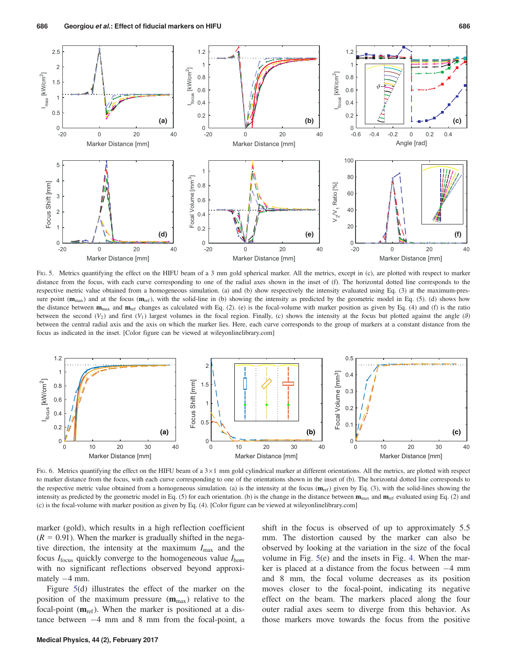<span id="page-7-0"></span>

FIG. 5. Metrics quantifying the effect on the HIFU beam of a 3 mm gold spherical marker. All the metrics, except in (c), are plotted with respect to marker distance from the focus, with each curve corresponding to one of the radial axes shown in the inset of (f). The horizontal dotted line corresponds to the respective metric value obtained from a homogeneous simulation. (a) and (b) show respectively the intensity evaluated using Eq. (3) at the maximum-pressure point  $(m_{max})$  and at the focus  $(m_{ref})$ , with the solid-line in (b) showing the intensity as predicted by the geometric model in Eq. (5). (d) shows how the distance between  $\mathbf{m}_{\text{max}}$  and  $\mathbf{m}_{\text{ref}}$  changes as calculated with Eq. (2). (e) is the focal-volume with marker position as given by Eq. (4) and (f) is the ratio between the second  $(V_2)$  and first  $(V_1)$  largest volumes in the focal region. Finally, (c) shows the intensity at the focus but plotted against the angle ( $\theta$ ) between the central radial axis and the axis on which the marker lies. Here, each curve corresponds to the group of markers at a constant distance from the focus as indicated in the inset. [Color figure can be viewed at [wileyonlinelibrary.com](https://wileyonlinelibrary.com)]



FIG. 6. Metrics quantifying the effect on the HIFU beam of a  $3\times1$  mm gold cylindrical marker at different orientations. All the metrics, are plotted with respect to marker distance from the focus, with each curve corresponding to one of the orientations shown in the inset of (b). The horizontal dotted line corresponds to the respective metric value obtained from a homogeneous simulation. (a) is the intensity at the focus  $(\mathbf{m}_{\text{ref}})$  given by Eq. (3), with the solid-lines showing the intensity as predicted by the geometric model in Eq. (5) for each orientation. (b) is the change in the distance between  $\mathbf{m}_{\text{max}}$  and  $\mathbf{m}_{\text{ref}}$  evaluated using Eq. (2) and (c) is the focal-volume with marker position as given by Eq. (4). [Color figure can be viewed at [wileyonlinelibrary.com](https://wileyonlinelibrary.com)]

marker (gold), which results in a high reflection coefficient  $(R = 0.91)$ . When the marker is gradually shifted in the negative direction, the intensity at the maximum  $I_{\text{max}}$  and the focus  $I_{\text{focus}}$  quickly converge to the homogeneous value  $I_{\text{hom}}$ with no significant reflections observed beyond approximately  $-4$  mm.

Figure 5(d) illustrates the effect of the marker on the position of the maximum pressure  $(m_{max})$  relative to the focal-point  $(m_{ref})$ . When the marker is positioned at a distance between  $-4$  mm and 8 mm from the focal-point, a shift in the focus is observed of up to approximately 5.5 mm. The distortion caused by the marker can also be observed by looking at the variation in the size of the focal volume in Fig. 5(e) and the insets in Fig. [4](#page-6-0). When the marker is placed at a distance from the focus between  $-4$  mm and 8 mm, the focal volume decreases as its position moves closer to the focal-point, indicating its negative effect on the beam. The markers placed along the four outer radial axes seem to diverge from this behavior. As those markers move towards the focus from the positive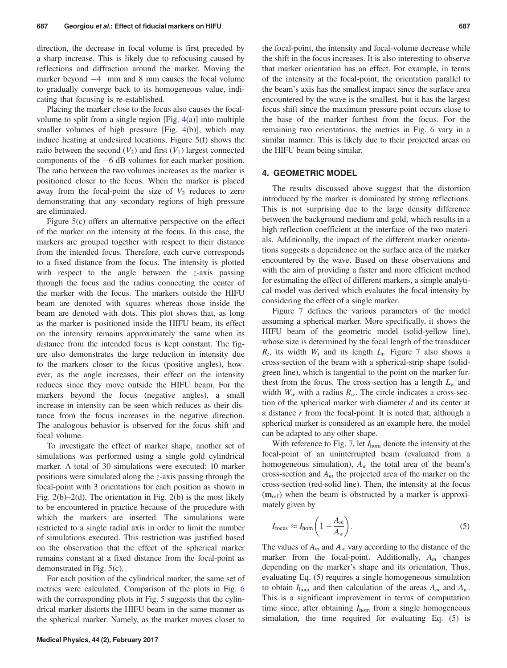direction, the decrease in focal volume is first preceded by a sharp increase. This is likely due to refocusing caused by reflections and diffraction around the marker. Moving the marker beyond  $-4$  mm and 8 mm causes the focal volume to gradually converge back to its homogeneous value, indicating that focusing is re-established.

Placing the marker close to the focus also causes the focalvolume to split from a single region [Fig. [4](#page-6-0)(a)] into multiple smaller volumes of high pressure [Fig. [4](#page-6-0)(b)], which may induce heating at undesired locations. Figure [5\(](#page-7-0)f) shows the ratio between the second  $(V_2)$  and first  $(V_1)$  largest connected components of the  $-6$  dB volumes for each marker position. The ratio between the two volumes increases as the marker is positioned closer to the focus. When the marker is placed away from the focal-point the size of  $V_2$  reduces to zero demonstrating that any secondary regions of high pressure are eliminated.

Figure [5](#page-7-0)(c) offers an alternative perspective on the effect of the marker on the intensity at the focus. In this case, the markers are grouped together with respect to their distance from the intended focus. Therefore, each curve corresponds to a fixed distance from the focus. The intensity is plotted with respect to the angle between the  $z$ -axis passing through the focus and the radius connecting the center of the marker with the focus. The markers outside the HIFU beam are denoted with squares whereas those inside the beam are denoted with dots. This plot shows that, as long as the marker is positioned inside the HIFU beam, its effect on the intensity remains approximately the same when its distance from the intended focus is kept constant. The figure also demonstrates the large reduction in intensity due to the markers closer to the focus (positive angles), however, as the angle increases, their effect on the intensity reduces since they move outside the HIFU beam. For the markers beyond the focus (negative angles), a small increase in intensity can be seen which reduces as their distance from the focus increases in the negative direction. The analogous behavior is observed for the focus shift and focal volume.

To investigate the effect of marker shape, another set of simulations was performed using a single gold cylindrical marker. A total of 30 simulations were executed: 10 marker positions were simulated along the z-axis passing through the focal-point with 3 orientations for each position as shown in Fig. [2\(](#page-3-0)b)–2(d). The orientation in Fig. [2\(](#page-3-0)b) is the most likely to be encountered in practice because of the procedure with which the markers are inserted. The simulations were restricted to a single radial axis in order to limit the number of simulations executed. This restriction was justified based on the observation that the effect of the spherical marker remains constant at a fixed distance from the focal-point as demonstrated in Fig. [5\(](#page-7-0)c).

For each position of the cylindrical marker, the same set of metrics were calculated. Comparison of the plots in Fig. [6](#page-7-0) with the corresponding plots in Fig. [5](#page-7-0) suggests that the cylindrical marker distorts the HIFU beam in the same manner as the spherical marker. Namely, as the marker moves closer to

the focal-point, the intensity and focal-volume decrease while the shift in the focus increases. It is also interesting to observe that marker orientation has an effect. For example, in terms of the intensity at the focal-point, the orientation parallel to the beam's axis has the smallest impact since the surface area encountered by the wave is the smallest, but it has the largest focus shift since the maximum pressure point occurs close to the base of the marker furthest from the focus. For the remaining two orientations, the metrics in Fig. [6](#page-7-0) vary in a

### 4. GEOMETRIC MODEL

the HIFU beam being similar.

The results discussed above suggest that the distortion introduced by the marker is dominated by strong reflections. This is not surprising due to the large density difference between the background medium and gold, which results in a high reflection coefficient at the interface of the two materials. Additionally, the impact of the different marker orientations suggests a dependence on the surface area of the marker encountered by the wave. Based on these observations and with the aim of providing a faster and more efficient method for estimating the effect of different markers, a simple analytical model was derived which evaluates the focal intensity by considering the effect of a single marker.

similar manner. This is likely due to their projected areas on

Figure [7](#page-9-0) defines the various parameters of the model assuming a spherical marker. More specifically, it shows the HIFU beam of the geometric model (solid-yellow line), whose size is determined by the focal length of the transducer  $R_t$ , its width  $W_t$  and its length  $L_t$ . Figure [7](#page-9-0) also shows a cross-section of the beam with a spherical-strip shape (solidgreen line), which is tangential to the point on the marker furthest from the focus. The cross-section has a length  $L_w$  and width  $W_w$  with a radius  $R_w$ . The circle indicates a cross-section of the spherical marker with diameter  $d$  and its center at a distance  $r$  from the focal-point. It is noted that, although a spherical marker is considered as an example here, the model can be adapted to any other shape.

With reference to Fig. [7,](#page-9-0) let  $I_{\text{hom}}$  denote the intensity at the focal-point of an uninterrupted beam (evaluated from a homogeneous simulation),  $A_w$  the total area of the beam's cross-section and  $A_m$  the projected area of the marker on the cross-section (red-solid line). Then, the intensity at the focus  $(m_{ref})$  when the beam is obstructed by a marker is approximately given by

$$
I_{\text{focus}} \approx I_{\text{hom}} \left( 1 - \frac{A_m}{A_w} \right). \tag{5}
$$

The values of  $A_m$  and  $A_w$  vary according to the distance of the marker from the focal-point. Additionally,  $A_m$  changes depending on the marker's shape and its orientation. Thus, evaluating Eq. (5) requires a single homogeneous simulation to obtain  $I_{\text{hom}}$  and then calculation of the areas  $A_m$  and  $A_w$ . This is a significant improvement in terms of computation time since, after obtaining  $I_{\text{hom}}$  from a single homogeneous simulation, the time required for evaluating Eq. (5) is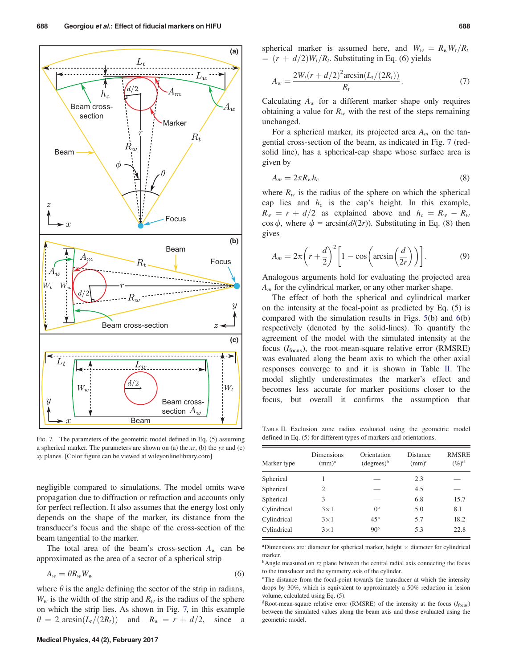<span id="page-9-0"></span>

FIG. 7. The parameters of the geometric model defined in Eq. (5) assuming a spherical marker. The parameters are shown on (a) the  $xz$ , (b) the  $yz$  and (c) xy planes. [Color figure can be viewed at [wileyonlinelibrary.com\]](https://wileyonlinelibrary.com)

negligible compared to simulations. The model omits wave propagation due to diffraction or refraction and accounts only for perfect reflection. It also assumes that the energy lost only depends on the shape of the marker, its distance from the transducer's focus and the shape of the cross-section of the beam tangential to the marker.

The total area of the beam's cross-section  $A_w$  can be approximated as the area of a sector of a spherical strip

$$
A_w = \theta R_w W_w \tag{6}
$$

where  $\theta$  is the angle defining the sector of the strip in radians,  $W_w$  is the width of the strip and  $R_w$  is the radius of the sphere on which the strip lies. As shown in Fig. 7, in this example  $heta = 2 \arcsin(L_t/(2R_t))$  and  $R_w = r + d/2$ , since a

$$
A_w = \frac{2W_t(r + d/2)^2 \arcsin(L_t/(2R_t))}{R_t}.
$$
\n(7)

Calculating  $A_w$  for a different marker shape only requires obtaining a value for  $R_w$  with the rest of the steps remaining unchanged.

For a spherical marker, its projected area  $A_m$  on the tangential cross-section of the beam, as indicated in Fig. 7 (redsolid line), has a spherical-cap shape whose surface area is given by

$$
A_m = 2\pi R_w h_c \tag{8}
$$

where  $R_w$  is the radius of the sphere on which the spherical cap lies and  $h_c$  is the cap's height. In this example,  $R_w = r + d/2$  as explained above and  $h_c = R_w - R_w$  $\cos \phi$ , where  $\phi = \arcsin(d/(2r))$ . Substituting in Eq. (8) then gives

$$
A_m = 2\pi \left( r + \frac{d}{2} \right)^2 \left[ 1 - \cos \left( \arcsin \left( \frac{d}{2r} \right) \right) \right].
$$
 (9)

Analogous arguments hold for evaluating the projected area  $A_m$  for the cylindrical marker, or any other marker shape.

The effect of both the spherical and cylindrical marker on the intensity at the focal-point as predicted by Eq. (5) is compared with the simulation results in Figs. [5](#page-7-0)(b) and [6](#page-7-0)(b) respectively (denoted by the solid-lines). To quantify the agreement of the model with the simulated intensity at the focus  $(I_{\text{focus}})$ , the root-mean-square relative error (RMSRE) was evaluated along the beam axis to which the other axial responses converge to and it is shown in Table II. The model slightly underestimates the marker's effect and becomes less accurate for marker positions closer to the focus, but overall it confirms the assumption that

TABLE II. Exclusion zone radius evaluated using the geometric model defined in Eq. (5) for different types of markers and orientations.

| Marker type | <b>Dimensions</b><br>$(mm)^a$ | Orientation<br>$(degrees)^b$ | Distance<br>$(mm)^c$ | <b>RMSRE</b><br>$(\%)^d$ |
|-------------|-------------------------------|------------------------------|----------------------|--------------------------|
| Spherical   |                               |                              | 2.3                  |                          |
| Spherical   | $\mathfrak{D}$                |                              | 4.5                  |                          |
| Spherical   | 3                             |                              | 6.8                  | 15.7                     |
| Cylindrical | $3 \times 1$                  | $0^{\circ}$                  | 5.0                  | 8.1                      |
| Cylindrical | $3 \times 1$                  | $45^{\circ}$                 | 5.7                  | 18.2                     |
| Cylindrical | $3 \times 1$                  | $90^\circ$                   | 5.3                  | 22.8                     |

<sup>a</sup>Dimensions are: diameter for spherical marker, height  $\times$  diameter for cylindrical marker.

 $<sup>b</sup>$ Angle measured on xz plane between the central radial axis connecting the focus</sup> to the transducer and the symmetry axis of the cylinder.

<sup>c</sup>The distance from the focal-point towards the transducer at which the intensity drops by 30%, which is equivalent to approximately a 50% reduction in lesion volume, calculated using Eq. (5).

 $d$ Root-mean-square relative error (RMSRE) of the intensity at the focus ( $I_{\text{focus}}$ ) between the simulated values along the beam axis and those evaluated using the geometric model.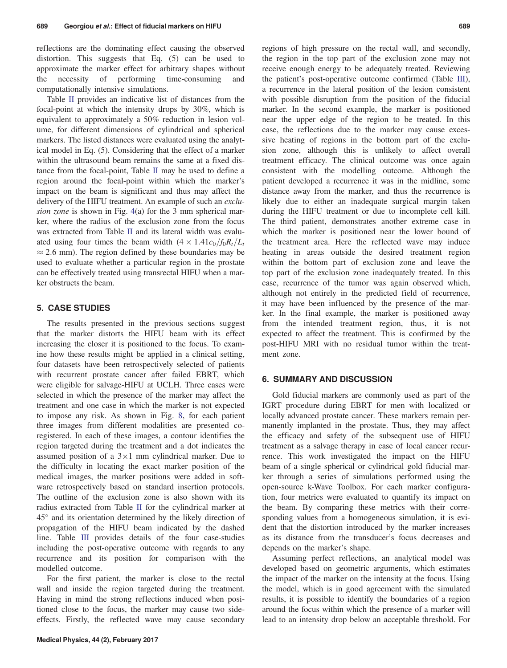reflections are the dominating effect causing the observed distortion. This suggests that Eq. (5) can be used to approximate the marker effect for arbitrary shapes without the necessity of performing time-consuming and computationally intensive simulations.

Table [II](#page-9-0) provides an indicative list of distances from the focal-point at which the intensity drops by 30%, which is equivalent to approximately a 50% reduction in lesion volume, for different dimensions of cylindrical and spherical markers. The listed distances were evaluated using the analytical model in Eq. (5). Considering that the effect of a marker within the ultrasound beam remains the same at a fixed distance from the focal-point, Table [II](#page-9-0) may be used to define a region around the focal-point within which the marker's impact on the beam is significant and thus may affect the delivery of the HIFU treatment. An example of such an exclu-sion zone is shown in Fig. [4](#page-6-0)(a) for the 3 mm spherical marker, where the radius of the exclusion zone from the focus was extracted from Table [II](#page-9-0) and its lateral width was evaluated using four times the beam width  $(4 \times 1.41c_0/f_0R_t/L_t$  $\approx$  2.6 mm). The region defined by these boundaries may be used to evaluate whether a particular region in the prostate can be effectively treated using transrectal HIFU when a marker obstructs the beam.

# 5. CASE STUDIES

The results presented in the previous sections suggest that the marker distorts the HIFU beam with its effect increasing the closer it is positioned to the focus. To examine how these results might be applied in a clinical setting, four datasets have been retrospectively selected of patients with recurrent prostate cancer after failed EBRT, which were eligible for salvage-HIFU at UCLH. Three cases were selected in which the presence of the marker may affect the treatment and one case in which the marker is not expected to impose any risk. As shown in Fig. [8,](#page-11-0) for each patient three images from different modalities are presented coregistered. In each of these images, a contour identifies the region targeted during the treatment and a dot indicates the assumed position of a  $3\times1$  mm cylindrical marker. Due to the difficulty in locating the exact marker position of the medical images, the marker positions were added in software retrospectively based on standard insertion protocols. The outline of the exclusion zone is also shown with its radius extracted from Table [II](#page-9-0) for the cylindrical marker at  $45^\circ$  and its orientation determined by the likely direction of propagation of the HIFU beam indicated by the dashed line. Table [III](#page-11-0) provides details of the four case-studies including the post-operative outcome with regards to any recurrence and its position for comparison with the modelled outcome.

For the first patient, the marker is close to the rectal wall and inside the region targeted during the treatment. Having in mind the strong reflections induced when positioned close to the focus, the marker may cause two sideeffects. Firstly, the reflected wave may cause secondary

Medical Physics, 44 (2), February 2017

regions of high pressure on the rectal wall, and secondly, the region in the top part of the exclusion zone may not receive enough energy to be adequately treated. Reviewing the patient's post-operative outcome confirmed (Table [III](#page-11-0)), a recurrence in the lateral position of the lesion consistent with possible disruption from the position of the fiducial marker. In the second example, the marker is positioned near the upper edge of the region to be treated. In this case, the reflections due to the marker may cause excessive heating of regions in the bottom part of the exclusion zone, although this is unlikely to affect overall treatment efficacy. The clinical outcome was once again consistent with the modelling outcome. Although the patient developed a recurrence it was in the midline, some distance away from the marker, and thus the recurrence is likely due to either an inadequate surgical margin taken during the HIFU treatment or due to incomplete cell kill. The third patient, demonstrates another extreme case in which the marker is positioned near the lower bound of the treatment area. Here the reflected wave may induce heating in areas outside the desired treatment region within the bottom part of exclusion zone and leave the top part of the exclusion zone inadequately treated. In this case, recurrence of the tumor was again observed which, although not entirely in the predicted field of recurrence, it may have been influenced by the presence of the marker. In the final example, the marker is positioned away from the intended treatment region, thus, it is not expected to affect the treatment. This is confirmed by the post-HIFU MRI with no residual tumor within the treatment zone.

## 6. SUMMARY AND DISCUSSION

Gold fiducial markers are commonly used as part of the IGRT procedure during EBRT for men with localized or locally advanced prostate cancer. These markers remain permanently implanted in the prostate. Thus, they may affect the efficacy and safety of the subsequent use of HIFU treatment as a salvage therapy in case of local cancer recurrence. This work investigated the impact on the HIFU beam of a single spherical or cylindrical gold fiducial marker through a series of simulations performed using the open-source k-Wave Toolbox. For each marker configuration, four metrics were evaluated to quantify its impact on the beam. By comparing these metrics with their corresponding values from a homogeneous simulation, it is evident that the distortion introduced by the marker increases as its distance from the transducer's focus decreases and depends on the marker's shape.

Assuming perfect reflections, an analytical model was developed based on geometric arguments, which estimates the impact of the marker on the intensity at the focus. Using the model, which is in good agreement with the simulated results, it is possible to identify the boundaries of a region around the focus within which the presence of a marker will lead to an intensity drop below an acceptable threshold. For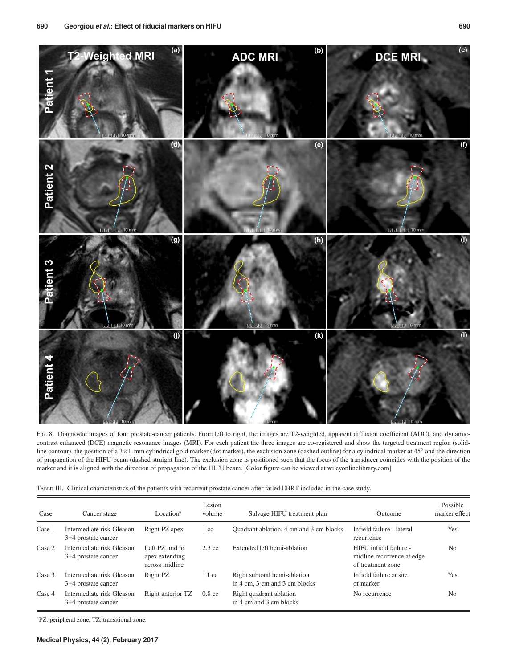**Neighted MRI** 

<span id="page-11-0"></span>

FIG. 8. Diagnostic images of four prostate-cancer patients. From left to right, the images are T2-weighted, apparent diffusion coefficient (ADC), and dynamiccontrast enhanced (DCE) magnetic resonance images (MRI). For each patient the three images are co-registered and show the targeted treatment region (solidline contour), the position of a  $3\times1$  mm cylindrical gold marker (dot marker), the exclusion zone (dashed outline) for a cylindrical marker at  $45^\circ$  and the direction of propagation of the HIFU-beam (dashed straight line). The exclusion zone is positioned such that the focus of the transducer coincides with the position of the marker and it is aligned with the direction of propagation of the HIFU beam. [Color figure can be viewed at [wileyonlinelibrary.com](https://wileyonlinelibrary.com)]

TABLE III. Clinical characteristics of the patients with recurrent prostate cancer after failed EBRT included in the case study.

| Case   | Cancer stage                                     | Location <sup>a</sup>                              | Lesion<br>volume | Salvage HIFU treatment plan                                   | Outcome                                                                   | Possible<br>marker effect |
|--------|--------------------------------------------------|----------------------------------------------------|------------------|---------------------------------------------------------------|---------------------------------------------------------------------------|---------------------------|
| Case 1 | Intermediate risk Gleason<br>3+4 prostate cancer | Right PZ apex                                      | 1 cc             | Quadrant ablation, 4 cm and 3 cm blocks                       | Infield failure - lateral<br>recurrence                                   | Yes                       |
| Case 2 | Intermediate risk Gleason<br>3+4 prostate cancer | Left PZ mid to<br>apex extending<br>across midline | $2.3 \text{ cc}$ | Extended left hemi-ablation                                   | HIFU infield failure -<br>midline recurrence at edge<br>of treatment zone | N <sub>0</sub>            |
| Case 3 | Intermediate risk Gleason<br>3+4 prostate cancer | Right PZ                                           | $1.1 \text{ cc}$ | Right subtotal hemi-ablation<br>in 4 cm, 3 cm and 3 cm blocks | Infield failure at site<br>of marker                                      | Yes                       |
| Case 4 | Intermediate risk Gleason<br>3+4 prostate cancer | Right anterior TZ                                  | $0.8 \text{ cc}$ | Right quadrant ablation<br>in 4 cm and 3 cm blocks            | No recurrence                                                             | N <sub>0</sub>            |

aPZ: peripheral zone, TZ: transitional zone.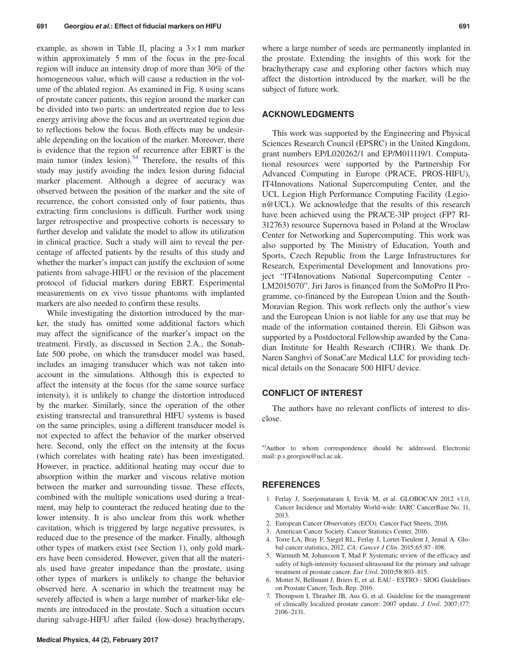<span id="page-12-0"></span>example, as shown in Table [II](#page-9-0), placing a  $3\times1$  mm marker within approximately 5 mm of the focus in the pre-focal region will induce an intensity drop of more than 30% of the homogeneous value, which will cause a reduction in the volume of the ablated region. As examined in Fig. [8](#page-11-0) using scans of prostate cancer patients, this region around the marker can be divided into two parts: an undertreated region due to less energy arriving above the focus and an overtreated region due to reflections below the focus. Both effects may be undesirable depending on the location of the marker. Moreover, there is evidence that the region of recurrence after EBRT is the main tumor (index lesion). $54$  Therefore, the results of this study may justify avoiding the index lesion during fiducial marker placement. Although a degree of accuracy was observed between the position of the marker and the site of recurrence, the cohort consisted only of four patients, thus extracting firm conclusions is difficult. Further work using larger retrospective and prospective cohorts is necessary to further develop and validate the model to allow its utilization in clinical practice. Such a study will aim to reveal the percentage of affected patients by the results of this study and whether the marker's impact can justify the exclusion of some patients from salvage-HIFU or the revision of the placement protocol of fiducial markers during EBRT. Experimental measurements on ex vivo tissue phantoms with implanted markers are also needed to confirm these results.

While investigating the distortion introduced by the marker, the study has omitted some additional factors which may affect the significance of the marker's impact on the treatment. Firstly, as discussed in Section 2.A., the Sonablate 500 probe, on which the transducer model was based, includes an imaging transducer which was not taken into account in the simulations. Although this is expected to affect the intensity at the focus (for the same source surface intensity), it is unlikely to change the distortion introduced by the marker. Similarly, since the operation of the other existing transrectal and transurethral HIFU systems is based on the same principles, using a different transducer model is not expected to affect the behavior of the marker observed here. Second, only the effect on the intensity at the focus (which correlates with heating rate) has been investigated. However, in practice, additional heating may occur due to absorption within the marker and viscous relative motion between the marker and surrounding tissue. These effects, combined with the multiple sonications used during a treatment, may help to counteract the reduced heating due to the lower intensity. It is also unclear from this work whether cavitation, which is triggered by large negative pressures, is reduced due to the presence of the marker. Finally, although other types of markers exist (see Section [1](#page-0-0)), only gold markers have been considered. However, given that all the materials used have greater impedance than the prostate, using other types of markers is unlikely to change the behavior observed here. A scenario in which the treatment may be severely affected is when a large number of marker-like elements are introduced in the prostate. Such a situation occurs during salvage-HIFU after failed (low-dose) brachytherapy,

## ACKNOWLEDGMENTS

This work was supported by the Engineering and Physical Sciences Research Council (EPSRC) in the United Kingdom, grant numbers EP/L020262/1 and EP/M011119/1. Computational resources were supported by the Partnership For Advanced Computing in Europe (PRACE, PROS-HIFU), IT4Innovations National Supercomputing Center, and the UCL Legion High Performance Computing Facility (Legion@UCL). We acknowledge that the results of this research have been achieved using the PRACE-3IP project (FP7 RI-312763) resource Supernova based in Poland at the Wroclaw Center for Networking and Supercomputing. This work was also supported by The Ministry of Education, Youth and Sports, Czech Republic from the Large Infrastructures for Research, Experimental Development and Innovations project "IT4Innovations National Supercomputing Center - LM2015070". Jiri Jaros is financed from the SoMoPro II Programme, co-financed by the European Union and the South-Moravian Region. This work reflects only the author's view and the European Union is not liable for any use that may be made of the information contained therein. Eli Gibson was supported by a Postdoctoral Fellowship awarded by the Canadian Institute for Health Research (CIHR). We thank Dr. Naren Sanghvi of SonaCare Medical LLC for providing technical details on the Sonacare 500 HIFU device.

# CONFLICT OF INTEREST

The authors have no relevant conflicts of interest to disclose.

a)Author to whom correspondence should be addressed. Electronic mail: p.s.georgiou@ucl.ac.uk.

# **REFERENCES**

- 1. Ferlay J, Soerjomataram I, Ervik M, et al. GLOBOCAN 2012 v1.0, Cancer Incidence and Mortality World-wide: IARC CancerBase No. 11, 2013.
- 2. European Cancer Observatory (ECO). Cancer Fact Sheets, 2016.
- 3. American Cancer Society. Cancer Statistics Center, 2016.
- 4. Torre LA, Bray F, Siegel RL, Ferlay J, Lortet-Tieulent J, Jemal A. Global cancer statistics, 2012. CA: Cancer J Clin. 2015;65:87–108.
- 5. Warmuth M, Johansson T, Mad P. Systematic review of the efficacy and safety of high-intensity focussed ultrasound for the primary and salvage treatment of prostate cancer. Eur Urol. 2010;58:803–815.
- 6. Mottet N, Bellmunt J, Briers E, et al. EAU ESTRO SIOG Guidelines on Prostate Cancer, Tech. Rep. 2016.
- 7. Thompson I, Thrasher JB, Aus G, et al. Guideline for the management of clinically localized prostate cancer: 2007 update. J Urol. 2007;177: 2106–2131.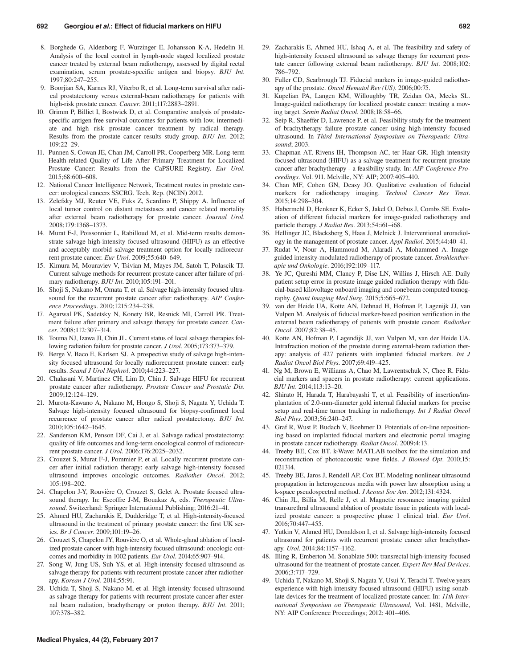- <span id="page-13-0"></span>8. Borghede G, Aldenborg F, Wurzinger E, Johansson K-A, Hedelin H. Analysis of the local control in lymph-node staged localized prostate cancer treated by external beam radiotherapy, assessed by digital rectal examination, serum prostate-specific antigen and biopsy. BJU Int. 1997;80:247–255.
- 9. Boorjian SA, Karnes RJ, Viterbo R, et al. Long-term survival after radical prostatectomy versus external-beam radiotherapy for patients with high-risk prostate cancer. Cancer. 2011;117:2883-2891.
- 10. Grimm P, Billiet I, Bostwick D, et al. Comparative analysis of prostatespecific antigen free survival outcomes for patients with low, intermediate and high risk prostate cancer treatment by radical therapy. Results from the prostate cancer results study group. BJU Int. 2012; 109:22–29.
- 11. Punnen S, Cowan JE, Chan JM, Carroll PR, Cooperberg MR. Long-term Health-related Quality of Life After Primary Treatment for Localized Prostate Cancer: Results from the CaPSURE Registry. Eur Urol. 2015;68:600–608.
- 12. National Cancer Intelligence Network, Treatment routes in prostate cancer: urological cancers SSCRG. Tech. Rep. (NCIN) 2012.
- 13. Zelefsky MJ, Reuter VE, Fuks Z, Scardino P, Shippy A. Influence of local tumor control on distant metastases and cancer related mortality after external beam radiotherapy for prostate cancer. Journal Urol. 2008;179:1368–1373.
- 14. Murat F-J, Poissonnier L, Rabilloud M, et al. Mid-term results demonstrate salvage high-intensity focused ultrasound (HIFU) as an effective and acceptably morbid salvage treatment option for locally radiorecurrent prostate cancer. Eur Urol. 2009;55:640–649.
- 15. Kimura M, Mouraviev V, Tsivian M, Mayes JM, Satoh T, Polascik TJ. Current salvage methods for recurrent prostate cancer after failure of primary radiotherapy. BJU Int. 2010;105:191–201.
- 16. Shoji S, Nakano M, Omata T, et al. Salvage high-intensity focused ultrasound for the recurrent prostate cancer after radiotherapy. AIP Conference Proceedings. 2010;1215:234–238.
- 17. Agarwal PK, Sadetsky N, Konety BR, Resnick MI, Carroll PR. Treatment failure after primary and salvage therapy for prostate cancer. Cancer. 2008;112:307–314.
- 18. Touma NJ, Izawa JI, Chin JL. Current status of local salvage therapies following radiation failure for prostate cancer. J Urol. 2005;173:373-379.
- 19. Berge V, Baco E, Karlsen SJ. A prospective study of salvage high-intensity focused ultrasound for locally radiorecurrent prostate cancer: early results. Scand J Urol Nephrol. 2010;44:223–227.
- 20. Chalasani V, Martinez CH, Lim D, Chin J. Salvage HIFU for recurrent prostate cancer after radiotherapy. Prostate Cancer and Prostatic Dis. 2009;12:124–129.
- 21. Murota-Kawano A, Nakano M, Hongo S, Shoji S, Nagata Y, Uchida T. Salvage high-intensity focused ultrasound for biopsy-confirmed local recurrence of prostate cancer after radical prostatectomy. BJU Int. 2010;105:1642–1645.
- 22. Sanderson KM, Penson DF, Cai J, et al. Salvage radical prostatectomy: quality of life outcomes and long-term oncological control of radiorecurrent prostate cancer. J Urol. 2006;176:2025–2032.
- 23. Crouzet S, Murat F-J, Pommier P, et al. Locally recurrent prostate cancer after initial radiation therapy: early salvage high-intensity focused ultrasound improves oncologic outcomes. Radiother Oncol. 2012; 105:198–202.
- 24. Chapelon J-Y, Rouvière O, Crouzet S, Gelet A. Prostate focused ultrasound therapy. In: Escoffre J-M, Bouakaz A, eds. Therapeutic Ultrasound. Switzerland: Springer International Publishing; 2016:21–41.
- 25. Ahmed HU, Zacharakis E, Dudderidge T, et al. High-intensity-focused ultrasound in the treatment of primary prostate cancer: the first UK series. Br J Cancer. 2009;101:19–26.
- 26. Crouzet S, Chapelon JY, Rouvière O, et al. Whole-gland ablation of localized prostate cancer with high-intensity focused ultrasound: oncologic outcomes and morbidity in 1002 patients. Eur Urol. 2014;65:907–914.
- 27. Song W, Jung US, Suh YS, et al. High-intensity focused ultrasound as salvage therapy for patients with recurrent prostate cancer after radiotherapy. Korean J Urol. 2014;55:91.
- 28. Uchida T, Shoji S, Nakano M, et al. High-intensity focused ultrasound as salvage therapy for patients with recurrent prostate cancer after external beam radiation, brachytherapy or proton therapy. BJU Int. 2011; 107:378–382.
- 29. Zacharakis E, Ahmed HU, Ishaq A, et al. The feasibility and safety of high-intensity focused ultrasound as salvage therapy for recurrent prostate cancer following external beam radiotherapy. BJU Int. 2008;102: 786–792.
- 30. Fuller CD, Scarbrough TJ. Fiducial markers in image-guided radiotherapy of the prostate. Oncol Hematol Rev (US). 2006;00:75.
- 31. Kupelian PA, Langen KM, Willoughby TR, Zeidan OA, Meeks SL. Image-guided radiotherapy for localized prostate cancer: treating a moving target. Semin Radiat Oncol. 2008;18:58–66.
- 32. Seip R, Shaeffer D, Lawrence P, et al. Feasibility study for the treatment of brachytherapy failure prostate cancer using high-intensity focused ultrasound. In Third International Symposium on Therapeutic Ultrasound; 2003.
- 33. Chapman AT, Rivens IH, Thompson AC, ter Haar GR. High intensity focused ultrasound (HIFU) as a salvage treatment for recurrent prostate cancer after brachytherapy - a feasibility study. In: AIP Conference Proceedings. Vol. 911. Melville, NY: AIP; 2007:405–410.
- 34. Chan MF, Cohen GN, Deasy JO. Qualitative evaluation of fiducial markers for radiotherapy imaging. Technol Cancer Res Treat. 2015;14:298–304.
- 35. Habermehl D, Henkner K, Ecker S, Jakel O, Debus J, Combs SE. Evaluation of different fiducial markers for image-guided radiotherapy and particle therapy. J Radiat Res. 2013;54:i61-i68.
- 36. Hellinger JC, Blacksberg S, Haas J, Melnick J. Interventional uroradiology in the management of prostate cancer. Appl Radiol. 2015;44:40–41.
- 37. Rudat V, Nour A, Hammoud M, Alaradi A, Mohammed A. Imageguided intensity-modulated radiotherapy of prostate cancer. Strahlentherapie und Onkologie. 2016;192:109–117.
- 38. Ye JC, Qureshi MM, Clancy P, Dise LN, Willins J, Hirsch AE. Daily patient setup error in prostate image guided radiation therapy with fiducial-based kilovoltage onboard imaging and conebeam computed tomography. Quant Imaging Med Surg. 2015;5:665–672.
- 39. van der Heide UA, Kotte AN, Dehnad H, Hofman P, Lagenijk JJ, van Vulpen M. Analysis of fiducial marker-based position verification in the external beam radiotherapy of patients with prostate cancer. Radiother Oncol. 2007;82:38–45.
- 40. Kotte AN, Hofman P, Lagendijk JJ, van Vulpen M, van der Heide UA. Intrafraction motion of the prostate during external-beam radiation therapy: analysis of 427 patients with implanted fiducial markers. Int J Radiat Oncol Biol Phys. 2007;69:419–425.
- 41. Ng M, Brown E, Williams A, Chao M, Lawrentschuk N, Chee R. Fiducial markers and spacers in prostate radiotherapy: current applications. BJU Int. 2014;113:13–20.
- 42. Shirato H, Harada T, Harabayashi T, et al. Feasibility of insertion/implantation of 2.0-mm-diameter gold internal fiducial markers for precise setup and real-time tumor tracking in radiotherapy. Int J Radiat Oncol Biol Phys. 2003;56:240–247.
- 43. Graf R, Wust P, Budach V, Boehmer D. Potentials of on-line repositioning based on implanted fiducial markers and electronic portal imaging in prostate cancer radiotherapy. Radiat Oncol. 2009;4:13.
- 44. Treeby BE, Cox BT. k-Wave: MATLAB toolbox for the simulation and reconstruction of photoacoustic wave fields. J Biomed Opt. 2010;15: 021314.
- 45. Treeby BE, Jaros J, Rendell AP, Cox BT. Modeling nonlinear ultrasound propagation in heterogeneous media with power law absorption using a k-space pseudospectral method. J Acoust Soc Am. 2012;131:4324.
- 46. Chin JL, Billia M, Relle J, et al. Magnetic resonance imaging guided transurethral ultrasound ablation of prostate tissue in patients with localized prostate cancer: a prospective phase 1 clinical trial. Eur Urol. 2016;70:447–455.
- 47. Yutkin V, Ahmed HU, Donaldson I, et al. Salvage high-intensity focused ultrasound for patients with recurrent prostate cancer after brachytherapy. Urol. 2014;84:1157–1162.
- 48. Illing R, Emberton M. Sonablate 500: transrectal high-intensity focused ultrasound for the treatment of prostate cancer. Expert Rev Med Devices. 2006;3:717–729.
- 49. Uchida T, Nakano M, Shoji S, Nagata Y, Usui Y, Terachi T. Twelve years experience with high-intensity focused ultrasound (HIFU) using sonablate devices for the treatment of localized prostate cancer. In: 11th International Symposium on Therapeutic Ultrasound, Vol. 1481, Melville, NY: AIP Conference Proceedings; 2012: 401–406.